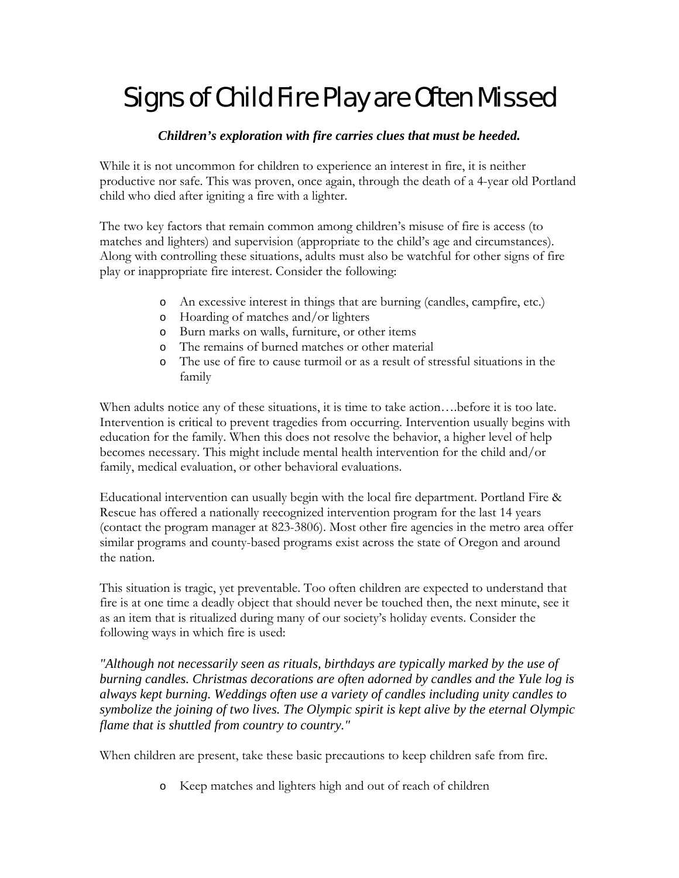## Signs of Child Fire Play are Often Missed

## *Children's exploration with fire carries clues that must be heeded.*

While it is not uncommon for children to experience an interest in fire, it is neither productive nor safe. This was proven, once again, through the death of a 4-year old Portland child who died after igniting a fire with a lighter.

The two key factors that remain common among children's misuse of fire is access (to matches and lighters) and supervision (appropriate to the child's age and circumstances). Along with controlling these situations, adults must also be watchful for other signs of fire play or inappropriate fire interest. Consider the following:

- o An excessive interest in things that are burning (candles, campfire, etc.)
- o Hoarding of matches and/or lighters
- o Burn marks on walls, furniture, or other items
- o The remains of burned matches or other material
- o The use of fire to cause turmoil or as a result of stressful situations in the family

When adults notice any of these situations, it is time to take action….before it is too late. Intervention is critical to prevent tragedies from occurring. Intervention usually begins with education for the family. When this does not resolve the behavior, a higher level of help becomes necessary. This might include mental health intervention for the child and/or family, medical evaluation, or other behavioral evaluations.

Educational intervention can usually begin with the local fire department. Portland Fire & Rescue has offered a nationally reecognized intervention program for the last 14 years (contact the program manager at 823-3806). Most other fire agencies in the metro area offer similar programs and county-based programs exist across the state of Oregon and around the nation.

This situation is tragic, yet preventable. Too often children are expected to understand that fire is at one time a deadly object that should never be touched then, the next minute, see it as an item that is ritualized during many of our society's holiday events. Consider the following ways in which fire is used:

*"Although not necessarily seen as rituals, birthdays are typically marked by the use of burning candles. Christmas decorations are often adorned by candles and the Yule log is always kept burning. Weddings often use a variety of candles including unity candles to symbolize the joining of two lives. The Olympic spirit is kept alive by the eternal Olympic flame that is shuttled from country to country."* 

When children are present, take these basic precautions to keep children safe from fire.

o Keep matches and lighters high and out of reach of children